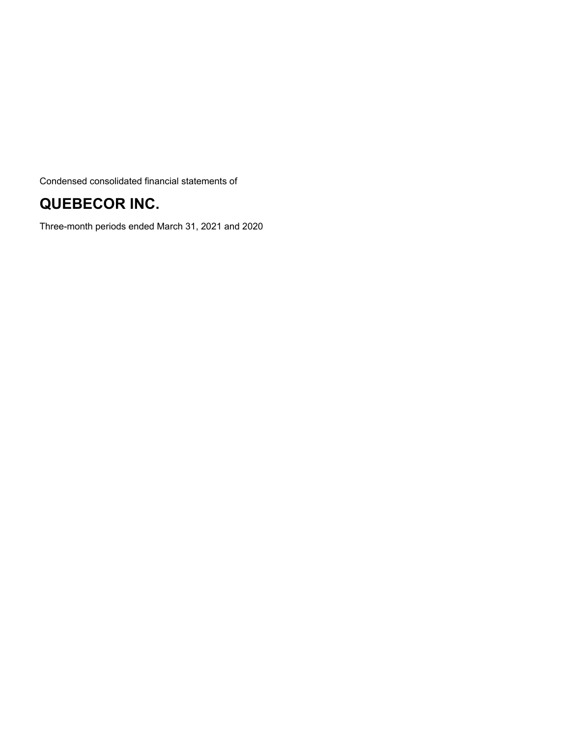Condensed consolidated financial statements of

# **QUEBECOR INC.**

Three-month periods ended March 31, 2021 and 2020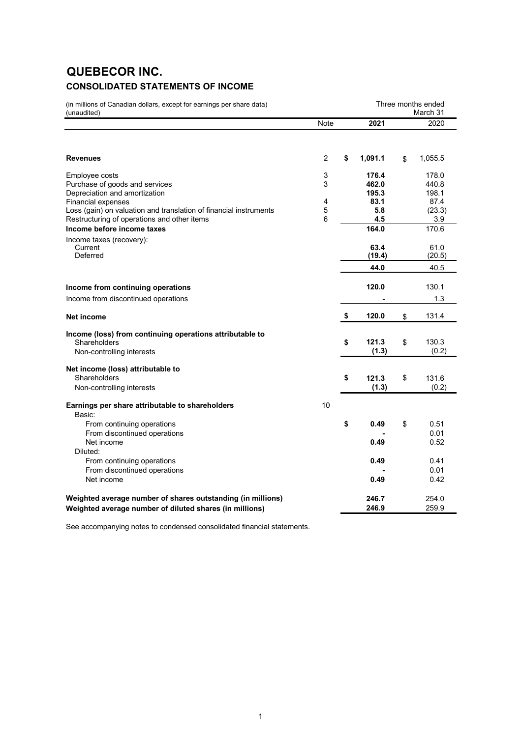# **QUEBECOR INC. CONSOLIDATED STATEMENTS OF INCOME**

| (in millions of Canadian dollars, except for earnings per share data)<br>(unaudited)                                                          |                | Three months ended<br>March 31 |                            |
|-----------------------------------------------------------------------------------------------------------------------------------------------|----------------|--------------------------------|----------------------------|
|                                                                                                                                               | Note           | 2021                           | 2020                       |
| <b>Revenues</b>                                                                                                                               | $\overline{2}$ | \$<br>1,091.1                  | \$<br>1,055.5              |
| Employee costs<br>Purchase of goods and services<br>Depreciation and amortization                                                             | 3<br>3         | 176.4<br>462.0<br>195.3        | 178.0<br>440.8<br>198.1    |
| <b>Financial expenses</b><br>Loss (gain) on valuation and translation of financial instruments<br>Restructuring of operations and other items | 4<br>5<br>6    | 83.1<br>5.8<br>4.5             | 87.4<br>(23.3)<br>3.9      |
| Income before income taxes<br>Income taxes (recovery):<br>Current<br>Deferred                                                                 |                | 164.0<br>63.4<br>(19.4)        | 170.6<br>61.0<br>(20.5)    |
|                                                                                                                                               |                | 44.0                           | 40.5                       |
| Income from continuing operations<br>Income from discontinued operations                                                                      |                | 120.0                          | 130.1<br>1.3               |
| Net income                                                                                                                                    |                | \$<br>120.0                    | \$<br>131.4                |
| Income (loss) from continuing operations attributable to<br>Shareholders<br>Non-controlling interests                                         |                | \$<br>121.3<br>(1.3)           | \$<br>130.3<br>(0.2)       |
| Net income (loss) attributable to<br>Shareholders                                                                                             |                | \$<br>121.3                    | \$<br>131.6                |
| Non-controlling interests<br>Earnings per share attributable to shareholders<br>Basic:                                                        | 10             | (1.3)                          | (0.2)                      |
| From continuing operations<br>From discontinued operations<br>Net income                                                                      |                | \$<br>0.49<br>0.49             | \$<br>0.51<br>0.01<br>0.52 |
| Diluted:<br>From continuing operations<br>From discontinued operations<br>Net income                                                          |                | 0.49<br>0.49                   | 0.41<br>0.01<br>0.42       |
| Weighted average number of shares outstanding (in millions)<br>Weighted average number of diluted shares (in millions)                        |                | 246.7<br>246.9                 | 254.0<br>259.9             |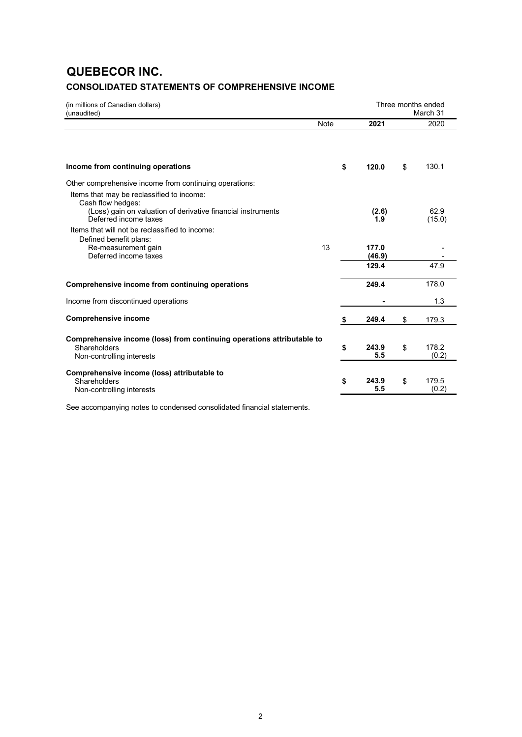# **QUEBECOR INC. CONSOLIDATED STATEMENTS OF COMPREHENSIVE INCOME**

| (in millions of Canadian dollars)<br>(unaudited)                                      |             |                 | Three months ended<br>March 31 |
|---------------------------------------------------------------------------------------|-------------|-----------------|--------------------------------|
|                                                                                       | <b>Note</b> | 2021            | 2020                           |
|                                                                                       |             |                 |                                |
| Income from continuing operations                                                     | \$          | 120.0           | \$<br>130.1                    |
| Other comprehensive income from continuing operations:                                |             |                 |                                |
| Items that may be reclassified to income:<br>Cash flow hedges:                        |             |                 |                                |
| (Loss) gain on valuation of derivative financial instruments<br>Deferred income taxes |             | (2.6)<br>1.9    | 62.9<br>(15.0)                 |
| Items that will not be reclassified to income:                                        |             |                 |                                |
| Defined benefit plans:<br>Re-measurement gain<br>Deferred income taxes                | 13          | 177.0<br>(46.9) |                                |
|                                                                                       |             | 129.4           | 47.9                           |
| Comprehensive income from continuing operations                                       |             | 249.4           | 178.0                          |
| Income from discontinued operations                                                   |             |                 | 1.3                            |
| <b>Comprehensive income</b>                                                           | S           | 249.4           | \$<br>179.3                    |
| Comprehensive income (loss) from continuing operations attributable to                |             |                 |                                |
| Shareholders<br>Non-controlling interests                                             | \$          | 243.9<br>5.5    | \$<br>178.2<br>(0.2)           |
| Comprehensive income (loss) attributable to                                           |             |                 |                                |
| Shareholders<br>Non-controlling interests                                             | \$          | 243.9<br>5.5    | \$<br>179.5<br>(0.2)           |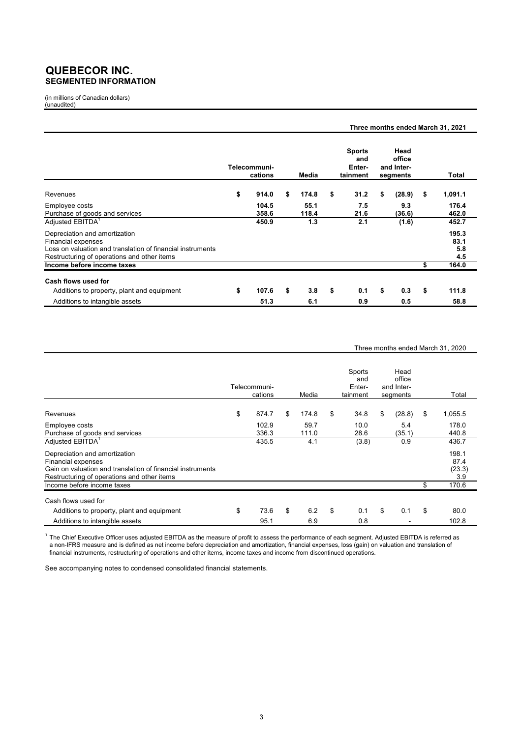### **QUEBECOR INC. SEGMENTED INFORMATION**

(in millions of Canadian dollars) (unaudited)

|                                                                                                                                                                  |                         |               |                                            |                                          | Three months ended March 31, 2021 |
|------------------------------------------------------------------------------------------------------------------------------------------------------------------|-------------------------|---------------|--------------------------------------------|------------------------------------------|-----------------------------------|
|                                                                                                                                                                  | Telecommuni-<br>cations | Media         | <b>Sports</b><br>and<br>Enter-<br>tainment | Head<br>office<br>and Inter-<br>segments | Total                             |
| Revenues                                                                                                                                                         | \$<br>914.0             | \$<br>174.8   | \$<br>31.2                                 | \$<br>(28.9)                             | \$<br>1,091.1                     |
| Employee costs<br>Purchase of goods and services                                                                                                                 | 104.5<br>358.6          | 55.1<br>118.4 | 7.5<br>21.6                                | 9.3<br>(36.6)                            | 176.4<br>462.0                    |
| Adjusted EBITDA <sup>1</sup>                                                                                                                                     | 450.9                   | 1.3           | 2.1                                        | (1.6)                                    | 452.7                             |
| Depreciation and amortization<br>Financial expenses<br>Loss on valuation and translation of financial instruments<br>Restructuring of operations and other items |                         |               |                                            |                                          | 195.3<br>83.1<br>5.8<br>4.5       |
| Income before income taxes                                                                                                                                       |                         |               |                                            |                                          | \$<br>164.0                       |
| Cash flows used for                                                                                                                                              |                         |               |                                            |                                          |                                   |
| Additions to property, plant and equipment                                                                                                                       | \$<br>107.6             | \$<br>3.8     | \$<br>0.1                                  | \$<br>0.3                                | \$<br>111.8                       |
| Additions to intangible assets                                                                                                                                   | 51.3                    | 6.1           | 0.9                                        | 0.5                                      | 58.8                              |

#### Three months ended March 31, 2020

|                                                                                                                                                                         | Telecommuni-<br>cations | Media         | Sports<br>and<br>Enter-<br>tainment | Head<br>office<br>and Inter-<br>segments | Total                          |
|-------------------------------------------------------------------------------------------------------------------------------------------------------------------------|-------------------------|---------------|-------------------------------------|------------------------------------------|--------------------------------|
| Revenues                                                                                                                                                                | \$<br>874.7             | \$<br>174.8   | \$<br>34.8                          | \$<br>(28.8)                             | \$<br>1,055.5                  |
| Employee costs<br>Purchase of goods and services                                                                                                                        | 102.9<br>336.3          | 59.7<br>111.0 | 10.0<br>28.6                        | 5.4<br>(35.1)                            | 178.0<br>440.8                 |
| Adjusted EBITDA <sup>1</sup>                                                                                                                                            | 435.5                   | 4.1           | (3.8)                               | 0.9                                      | 436.7                          |
| Depreciation and amortization<br><b>Financial expenses</b><br>Gain on valuation and translation of financial instruments<br>Restructuring of operations and other items |                         |               |                                     |                                          | 198.1<br>87.4<br>(23.3)<br>3.9 |
| Income before income taxes                                                                                                                                              |                         |               |                                     |                                          | \$<br>170.6                    |
| Cash flows used for                                                                                                                                                     |                         |               |                                     |                                          |                                |
| Additions to property, plant and equipment                                                                                                                              | \$<br>73.6              | \$<br>6.2     | \$<br>0.1                           | \$<br>0.1                                | \$<br>80.0                     |
| Additions to intangible assets                                                                                                                                          | 95.1                    | 6.9           | 0.8                                 |                                          | 102.8                          |

 $^{\rm 1}$  The Chief Executive Officer uses adjusted EBITDA as the measure of profit to assess the performance of each segment. Adjusted EBITDA is referred as a non-IFRS measure and is defined as net income before depreciation and amortization, financial expenses, loss (gain) on valuation and translation of financial instruments, restructuring of operations and other items, income taxes and income from discontinued operations.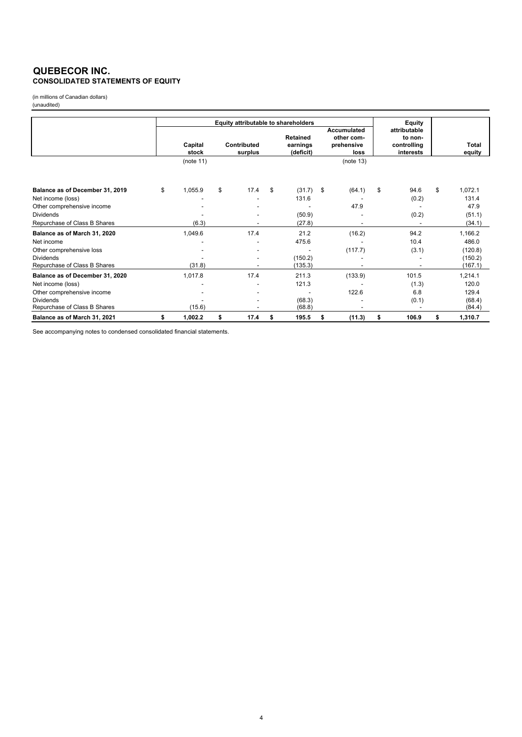### **QUEBECOR INC. CONSOLIDATED STATEMENTS OF EQUITY**

(in millions of Canadian dollars) (unaudited)

|                                                  | Equity attributable to shareholders |                  |    |                        |    |                                          | Equity |                                                 |                                                     |                        |
|--------------------------------------------------|-------------------------------------|------------------|----|------------------------|----|------------------------------------------|--------|-------------------------------------------------|-----------------------------------------------------|------------------------|
|                                                  |                                     | Capital<br>stock |    | Contributed<br>surplus |    | <b>Retained</b><br>earnings<br>(deficit) |        | Accumulated<br>other com-<br>prehensive<br>loss | attributable<br>to non-<br>controlling<br>interests | <b>Total</b><br>equity |
|                                                  |                                     | (note $11$ )     |    |                        |    |                                          |        | (note 13)                                       |                                                     |                        |
| Balance as of December 31, 2019                  | \$                                  | 1,055.9          | \$ | 17.4                   | \$ | (31.7)                                   | \$     | (64.1)                                          | \$<br>94.6                                          | \$<br>1,072.1          |
| Net income (loss)                                |                                     |                  |    |                        |    | 131.6                                    |        |                                                 | (0.2)                                               | 131.4                  |
| Other comprehensive income                       |                                     |                  |    |                        |    |                                          |        | 47.9                                            |                                                     | 47.9                   |
| <b>Dividends</b>                                 |                                     |                  |    |                        |    | (50.9)                                   |        |                                                 | (0.2)                                               | (51.1)                 |
| Repurchase of Class B Shares                     |                                     | (6.3)            |    |                        |    | (27.8)                                   |        |                                                 |                                                     | (34.1)                 |
| Balance as of March 31, 2020                     |                                     | 1,049.6          |    | 17.4                   |    | 21.2                                     |        | (16.2)                                          | 94.2                                                | 1,166.2                |
| Net income                                       |                                     |                  |    |                        |    | 475.6                                    |        |                                                 | 10.4                                                | 486.0                  |
| Other comprehensive loss                         |                                     |                  |    |                        |    |                                          |        | (117.7)                                         | (3.1)                                               | (120.8)                |
| <b>Dividends</b><br>Repurchase of Class B Shares |                                     | (31.8)           |    |                        |    | (150.2)<br>(135.3)                       |        |                                                 |                                                     | (150.2)<br>(167.1)     |
| Balance as of December 31, 2020                  |                                     | 1,017.8          |    | 17.4                   |    | 211.3                                    |        | (133.9)                                         | 101.5                                               | 1,214.1                |
| Net income (loss)                                |                                     |                  |    |                        |    | 121.3                                    |        |                                                 | (1.3)                                               | 120.0                  |
| Other comprehensive income                       |                                     |                  |    |                        |    |                                          |        | 122.6                                           | 6.8                                                 | 129.4                  |
| <b>Dividends</b><br>Repurchase of Class B Shares |                                     | (15.6)           |    |                        |    | (68.3)<br>(68.8)                         |        |                                                 | (0.1)                                               | (68.4)<br>(84.4)       |
| Balance as of March 31, 2021                     | \$                                  | 1,002.2          | \$ | 17.4                   | \$ | 195.5                                    | \$     | (11.3)                                          | \$<br>106.9                                         | \$<br>1,310.7          |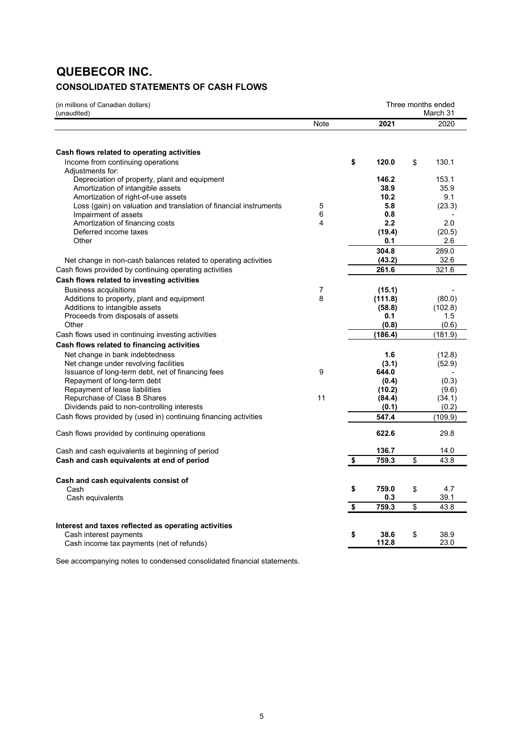# **QUEBECOR INC.**

# **CONSOLIDATED STATEMENTS OF CASH FLOWS**

| (in millions of Canadian dollars)<br>(unaudited)                                                                                                                                                                       |        |                                     | Three months ended<br>March 31 |                                |  |
|------------------------------------------------------------------------------------------------------------------------------------------------------------------------------------------------------------------------|--------|-------------------------------------|--------------------------------|--------------------------------|--|
|                                                                                                                                                                                                                        | Note   | 2021                                |                                | 2020                           |  |
| Cash flows related to operating activities                                                                                                                                                                             |        |                                     |                                |                                |  |
| Income from continuing operations<br>Adjustments for:                                                                                                                                                                  |        | \$<br>120.0                         | \$                             | 130.1                          |  |
| Depreciation of property, plant and equipment<br>Amortization of intangible assets<br>Amortization of right-of-use assets<br>Loss (gain) on valuation and translation of financial instruments<br>Impairment of assets | 5<br>6 | 146.2<br>38.9<br>10.2<br>5.8<br>0.8 |                                | 153.1<br>35.9<br>9.1<br>(23.3) |  |
| Amortization of financing costs<br>Deferred income taxes                                                                                                                                                               | 4      | $2.2\phantom{0}$<br>(19.4)          |                                | 2.0<br>(20.5)                  |  |
| Other<br>Net change in non-cash balances related to operating activities                                                                                                                                               |        | 0.1<br>304.8<br>(43.2)              |                                | 2.6<br>289.0<br>32.6           |  |
| Cash flows provided by continuing operating activities                                                                                                                                                                 |        | 261.6                               |                                | 321.6                          |  |
| Cash flows related to investing activities<br><b>Business acquisitions</b><br>Additions to property, plant and equipment                                                                                               | 7<br>8 | (15.1)<br>(111.8)                   |                                | (80.0)                         |  |
| Additions to intangible assets<br>Proceeds from disposals of assets<br>Other                                                                                                                                           |        | (58.8)<br>0.1<br>(0.8)              |                                | (102.8)<br>1.5<br>(0.6)        |  |
| Cash flows used in continuing investing activities                                                                                                                                                                     |        | (186.4)                             |                                | (181.9)                        |  |
| Cash flows related to financing activities                                                                                                                                                                             |        |                                     |                                |                                |  |
| Net change in bank indebtedness<br>Net change under revolving facilities<br>Issuance of long-term debt, net of financing fees                                                                                          | 9      | 1.6<br>(3.1)<br>644.0               |                                | (12.8)<br>(52.9)               |  |
| Repayment of long-term debt<br>Repayment of lease liabilities<br>Repurchase of Class B Shares                                                                                                                          | 11     | (0.4)<br>(10.2)<br>(84.4)           |                                | (0.3)<br>(9.6)<br>(34.1)       |  |
| Dividends paid to non-controlling interests                                                                                                                                                                            |        | (0.1)                               |                                | (0.2)                          |  |
| Cash flows provided by (used in) continuing financing activities                                                                                                                                                       |        | 547.4                               |                                | (109.9)                        |  |
| Cash flows provided by continuing operations                                                                                                                                                                           |        | 622.6                               |                                | 29.8                           |  |
| Cash and cash equivalents at beginning of period                                                                                                                                                                       |        | 136.7                               |                                | 14.0                           |  |
| Cash and cash equivalents at end of period                                                                                                                                                                             |        | \$<br>759.3                         | \$                             | 43.8                           |  |
| Cash and cash equivalents consist of                                                                                                                                                                                   |        |                                     |                                |                                |  |
| Cash<br>Cash equivalents                                                                                                                                                                                               |        | \$<br>759.0<br>0.3                  | \$                             | 4.7<br>39.1                    |  |
|                                                                                                                                                                                                                        |        | \$<br>759.3                         | \$                             | 43.8                           |  |
| Interest and taxes reflected as operating activities                                                                                                                                                                   |        | \$<br>38.6                          |                                | 38.9                           |  |
| Cash interest payments<br>Cash income tax payments (net of refunds)                                                                                                                                                    |        | 112.8                               | \$                             | 23.0                           |  |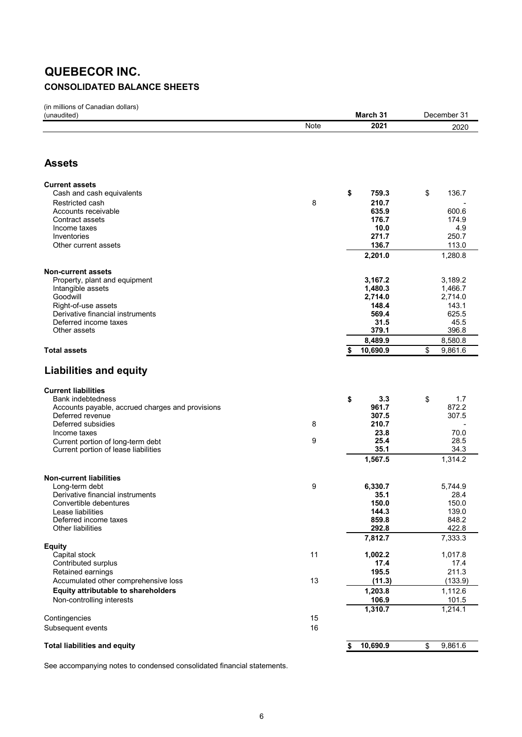# **QUEBECOR INC. CONSOLIDATED BALANCE SHEETS**

(in millions of Canadian dollars)

| (unaudited)                                                          | March 31 | December 31    |                |  |
|----------------------------------------------------------------------|----------|----------------|----------------|--|
|                                                                      | Note     | 2021           | 2020           |  |
|                                                                      |          |                |                |  |
|                                                                      |          |                |                |  |
| <b>Assets</b>                                                        |          |                |                |  |
| <b>Current assets</b>                                                |          |                |                |  |
| Cash and cash equivalents                                            |          | \$<br>759.3    | \$<br>136.7    |  |
| Restricted cash                                                      | 8        | 210.7          |                |  |
| Accounts receivable                                                  |          | 635.9          | 600.6          |  |
| Contract assets                                                      |          | 176.7          | 174.9          |  |
| Income taxes<br>Inventories                                          |          | 10.0<br>271.7  | 4.9<br>250.7   |  |
| Other current assets                                                 |          | 136.7          | 113.0          |  |
|                                                                      |          | 2,201.0        | 1,280.8        |  |
|                                                                      |          |                |                |  |
| Non-current assets<br>Property, plant and equipment                  |          | 3,167.2        | 3,189.2        |  |
| Intangible assets                                                    |          | 1,480.3        | 1,466.7        |  |
| Goodwill                                                             |          | 2,714.0        | 2,714.0        |  |
| Right-of-use assets                                                  |          | 148.4          | 143.1          |  |
| Derivative financial instruments<br>Deferred income taxes            |          | 569.4<br>31.5  | 625.5<br>45.5  |  |
| Other assets                                                         |          | 379.1          | 396.8          |  |
|                                                                      |          | 8,489.9        | 8,580.8        |  |
| <b>Total assets</b>                                                  |          | 10,690.9<br>\$ | \$<br>9,861.6  |  |
|                                                                      |          |                |                |  |
| <b>Liabilities and equity</b>                                        |          |                |                |  |
| <b>Current liabilities</b>                                           |          |                |                |  |
| Bank indebtedness                                                    |          | 3.3<br>\$      | 1.7<br>\$      |  |
| Accounts payable, accrued charges and provisions<br>Deferred revenue |          | 961.7<br>307.5 | 872.2<br>307.5 |  |
| Deferred subsidies                                                   | 8        | 210.7          |                |  |
| Income taxes                                                         |          | 23.8           | 70.0           |  |
| Current portion of long-term debt                                    | 9        | 25.4           | 28.5           |  |
| Current portion of lease liabilities                                 |          | 35.1           | 34.3           |  |
|                                                                      |          | 1,567.5        | 1,314.2        |  |
| <b>Non-current liabilities</b>                                       |          |                |                |  |
| Long-term debt                                                       | 9        | 6,330.7        | 5,744.9        |  |
| Derivative financial instruments                                     |          | 35.1           | 28.4           |  |
| Convertible debentures<br>Lease liabilities                          |          | 150.0<br>144.3 | 150.0<br>139.0 |  |
| Deferred income taxes                                                |          | 859.8          | 848.2          |  |
| <b>Other liabilities</b>                                             |          | 292.8          | 422.8          |  |
|                                                                      |          | 7,812.7        | 7,333.3        |  |
| Equity<br>Capital stock                                              | 11       | 1,002.2        | 1,017.8        |  |
| Contributed surplus                                                  |          | 17.4           | 17.4           |  |
| Retained earnings                                                    |          | 195.5          | 211.3          |  |
| Accumulated other comprehensive loss                                 | 13       | (11.3)         | (133.9)        |  |
| <b>Equity attributable to shareholders</b>                           |          | 1,203.8        | 1,112.6        |  |
| Non-controlling interests                                            |          | 106.9          | 101.5          |  |
|                                                                      |          | 1,310.7        | 1,214.1        |  |
| Contingencies                                                        | 15<br>16 |                |                |  |
| Subsequent events                                                    |          |                |                |  |
| <b>Total liabilities and equity</b>                                  |          | 10,690.9<br>\$ | 9,861.6<br>\$  |  |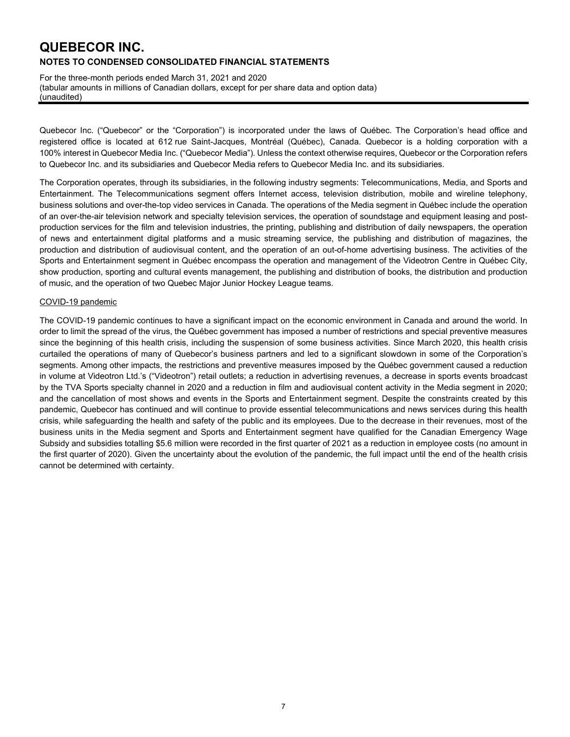For the three-month periods ended March 31, 2021 and 2020 (tabular amounts in millions of Canadian dollars, except for per share data and option data) (unaudited)

Quebecor Inc. ("Quebecor" or the "Corporation") is incorporated under the laws of Québec. The Corporation's head office and registered office is located at 612 rue Saint-Jacques, Montréal (Québec), Canada. Quebecor is a holding corporation with a 100% interest in Quebecor Media Inc. ("Quebecor Media"). Unless the context otherwise requires, Quebecor or the Corporation refers to Quebecor Inc. and its subsidiaries and Quebecor Media refers to Quebecor Media Inc. and its subsidiaries.

The Corporation operates, through its subsidiaries, in the following industry segments: Telecommunications, Media, and Sports and Entertainment. The Telecommunications segment offers Internet access, television distribution, mobile and wireline telephony, business solutions and over-the-top video services in Canada. The operations of the Media segment in Québec include the operation of an over-the-air television network and specialty television services, the operation of soundstage and equipment leasing and postproduction services for the film and television industries, the printing, publishing and distribution of daily newspapers, the operation of news and entertainment digital platforms and a music streaming service, the publishing and distribution of magazines, the production and distribution of audiovisual content, and the operation of an out-of-home advertising business. The activities of the Sports and Entertainment segment in Québec encompass the operation and management of the Videotron Centre in Québec City, show production, sporting and cultural events management, the publishing and distribution of books, the distribution and production of music, and the operation of two Quebec Major Junior Hockey League teams.

#### COVID-19 pandemic

The COVID-19 pandemic continues to have a significant impact on the economic environment in Canada and around the world. In order to limit the spread of the virus, the Québec government has imposed a number of restrictions and special preventive measures since the beginning of this health crisis, including the suspension of some business activities. Since March 2020, this health crisis curtailed the operations of many of Quebecor's business partners and led to a significant slowdown in some of the Corporation's segments. Among other impacts, the restrictions and preventive measures imposed by the Québec government caused a reduction in volume at Videotron Ltd.'s ("Videotron") retail outlets; a reduction in advertising revenues, a decrease in sports events broadcast by the TVA Sports specialty channel in 2020 and a reduction in film and audiovisual content activity in the Media segment in 2020; and the cancellation of most shows and events in the Sports and Entertainment segment. Despite the constraints created by this pandemic, Quebecor has continued and will continue to provide essential telecommunications and news services during this health crisis, while safeguarding the health and safety of the public and its employees. Due to the decrease in their revenues, most of the business units in the Media segment and Sports and Entertainment segment have qualified for the Canadian Emergency Wage Subsidy and subsidies totalling \$5.6 million were recorded in the first quarter of 2021 as a reduction in employee costs (no amount in the first quarter of 2020). Given the uncertainty about the evolution of the pandemic, the full impact until the end of the health crisis cannot be determined with certainty.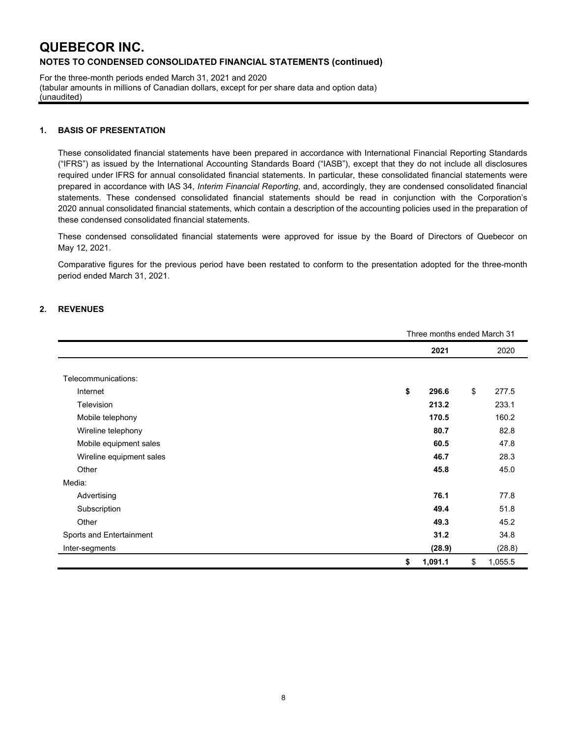For the three-month periods ended March 31, 2021 and 2020 (tabular amounts in millions of Canadian dollars, except for per share data and option data) (unaudited)

#### **1. BASIS OF PRESENTATION**

These consolidated financial statements have been prepared in accordance with International Financial Reporting Standards ("IFRS") as issued by the International Accounting Standards Board ("IASB"), except that they do not include all disclosures required under IFRS for annual consolidated financial statements. In particular, these consolidated financial statements were prepared in accordance with IAS 34, *Interim Financial Reporting*, and, accordingly, they are condensed consolidated financial statements. These condensed consolidated financial statements should be read in conjunction with the Corporation's 2020 annual consolidated financial statements, which contain a description of the accounting policies used in the preparation of these condensed consolidated financial statements.

These condensed consolidated financial statements were approved for issue by the Board of Directors of Quebecor on May 12, 2021.

Comparative figures for the previous period have been restated to conform to the presentation adopted for the three-month period ended March 31, 2021.

### **2. REVENUES**

|                          | Three months ended March 31 |    |         |  |  |  |
|--------------------------|-----------------------------|----|---------|--|--|--|
|                          | 2021                        |    | 2020    |  |  |  |
|                          |                             |    |         |  |  |  |
| Telecommunications:      |                             |    |         |  |  |  |
| Internet                 | \$<br>296.6                 | \$ | 277.5   |  |  |  |
| Television               | 213.2                       |    | 233.1   |  |  |  |
| Mobile telephony         | 170.5                       |    | 160.2   |  |  |  |
| Wireline telephony       | 80.7                        |    | 82.8    |  |  |  |
| Mobile equipment sales   | 60.5                        |    | 47.8    |  |  |  |
| Wireline equipment sales | 46.7                        |    | 28.3    |  |  |  |
| Other                    | 45.8                        |    | 45.0    |  |  |  |
| Media:                   |                             |    |         |  |  |  |
| Advertising              | 76.1                        |    | 77.8    |  |  |  |
| Subscription             | 49.4                        |    | 51.8    |  |  |  |
| Other                    | 49.3                        |    | 45.2    |  |  |  |
| Sports and Entertainment | 31.2                        |    | 34.8    |  |  |  |
| Inter-segments           | (28.9)                      |    | (28.8)  |  |  |  |
|                          | \$<br>1,091.1               | \$ | 1,055.5 |  |  |  |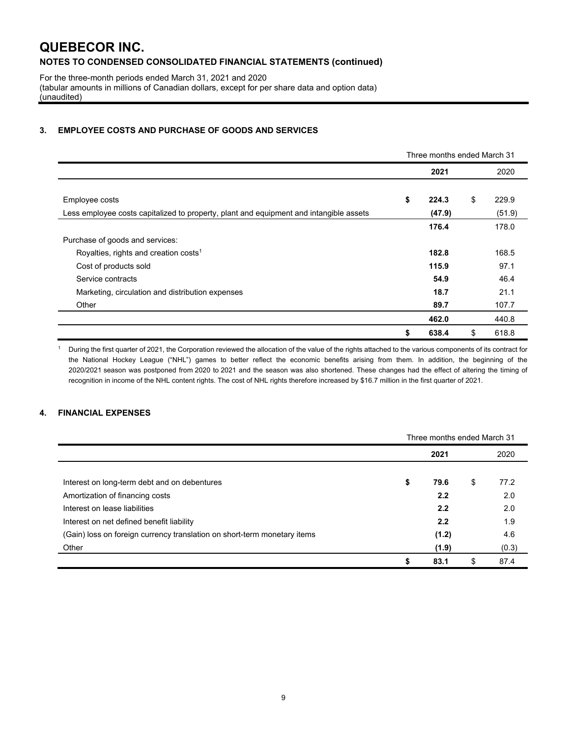For the three-month periods ended March 31, 2021 and 2020 (tabular amounts in millions of Canadian dollars, except for per share data and option data) (unaudited)

#### **3. EMPLOYEE COSTS AND PURCHASE OF GOODS AND SERVICES**

|                                                                                        |    | Three months ended March 31 |    |        |
|----------------------------------------------------------------------------------------|----|-----------------------------|----|--------|
|                                                                                        |    | 2021                        |    | 2020   |
|                                                                                        |    |                             |    |        |
| Employee costs                                                                         | \$ | 224.3                       | \$ | 229.9  |
| Less employee costs capitalized to property, plant and equipment and intangible assets |    | (47.9)                      |    | (51.9) |
|                                                                                        |    | 176.4                       |    | 178.0  |
| Purchase of goods and services:                                                        |    |                             |    |        |
| Royalties, rights and creation costs <sup>1</sup>                                      |    | 182.8                       |    | 168.5  |
| Cost of products sold                                                                  |    | 115.9                       |    | 97.1   |
| Service contracts                                                                      |    | 54.9                        |    | 46.4   |
| Marketing, circulation and distribution expenses                                       |    | 18.7                        |    | 21.1   |
| Other                                                                                  |    | 89.7                        |    | 107.7  |
|                                                                                        |    | 462.0                       |    | 440.8  |
|                                                                                        | \$ | 638.4                       | \$ | 618.8  |

<sup>1</sup> During the first quarter of 2021, the Corporation reviewed the allocation of the value of the rights attached to the various components of its contract for the National Hockey League ("NHL") games to better reflect the economic benefits arising from them. In addition, the beginning of the 2020/2021 season was postponed from 2020 to 2021 and the season was also shortened. These changes had the effect of altering the timing of recognition in income of the NHL content rights. The cost of NHL rights therefore increased by \$16.7 million in the first quarter of 2021.

### **4. FINANCIAL EXPENSES**

|                                                                          | Three months ended March 31 |    |       |  |  |  |  |
|--------------------------------------------------------------------------|-----------------------------|----|-------|--|--|--|--|
|                                                                          | 2021                        |    | 2020  |  |  |  |  |
| Interest on long-term debt and on debentures                             | \$<br>79.6                  | \$ | 77.2  |  |  |  |  |
| Amortization of financing costs                                          | 2.2                         |    | 2.0   |  |  |  |  |
| Interest on lease liabilities                                            | 2.2                         |    | 2.0   |  |  |  |  |
| Interest on net defined benefit liability                                | 2.2                         |    | 1.9   |  |  |  |  |
| (Gain) loss on foreign currency translation on short-term monetary items | (1.2)                       |    | 4.6   |  |  |  |  |
| Other                                                                    | (1.9)                       |    | (0.3) |  |  |  |  |
|                                                                          | 83.1                        | \$ | 87.4  |  |  |  |  |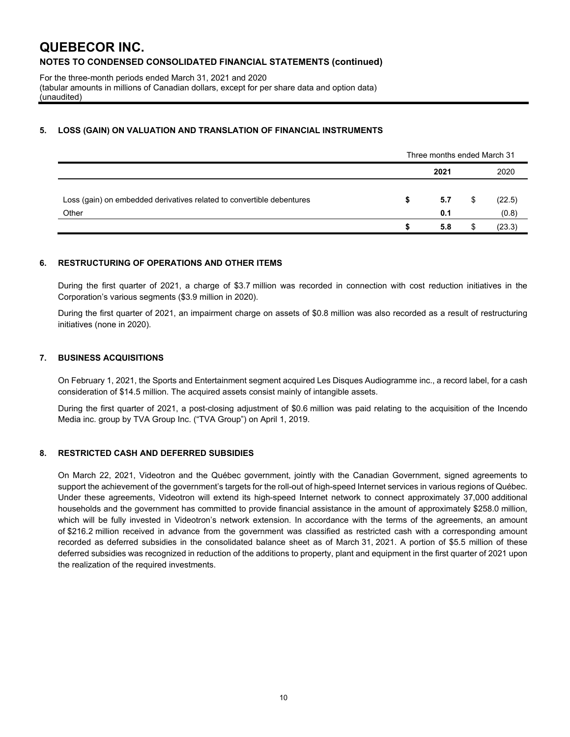For the three-month periods ended March 31, 2021 and 2020 (tabular amounts in millions of Canadian dollars, except for per share data and option data) (unaudited)

### **5. LOSS (GAIN) ON VALUATION AND TRANSLATION OF FINANCIAL INSTRUMENTS**

|                                                                                | Three months ended March 31 |            |    |                 |  |
|--------------------------------------------------------------------------------|-----------------------------|------------|----|-----------------|--|
|                                                                                |                             | 2021       |    | 2020            |  |
| Loss (gain) on embedded derivatives related to convertible debentures<br>Other | S                           | 5.7<br>0.1 | \$ | (22.5)<br>(0.8) |  |
|                                                                                |                             | 5.8        |    | (23.3)          |  |

#### **6. RESTRUCTURING OF OPERATIONS AND OTHER ITEMS**

During the first quarter of 2021, a charge of \$3.7 million was recorded in connection with cost reduction initiatives in the Corporation's various segments (\$3.9 million in 2020).

During the first quarter of 2021, an impairment charge on assets of \$0.8 million was also recorded as a result of restructuring initiatives (none in 2020).

#### **7. BUSINESS ACQUISITIONS**

On February 1, 2021, the Sports and Entertainment segment acquired Les Disques Audiogramme inc., a record label, for a cash consideration of \$14.5 million. The acquired assets consist mainly of intangible assets.

During the first quarter of 2021, a post-closing adjustment of \$0.6 million was paid relating to the acquisition of the Incendo Media inc. group by TVA Group Inc. ("TVA Group") on April 1, 2019.

### **8. RESTRICTED CASH AND DEFERRED SUBSIDIES**

On March 22, 2021, Videotron and the Québec government, jointly with the Canadian Government, signed agreements to support the achievement of the government's targets for the roll-out of high-speed Internet services in various regions of Québec. Under these agreements, Videotron will extend its high-speed Internet network to connect approximately 37,000 additional households and the government has committed to provide financial assistance in the amount of approximately \$258.0 million, which will be fully invested in Videotron's network extension. In accordance with the terms of the agreements, an amount of \$216.2 million received in advance from the government was classified as restricted cash with a corresponding amount recorded as deferred subsidies in the consolidated balance sheet as of March 31, 2021. A portion of \$5.5 million of these deferred subsidies was recognized in reduction of the additions to property, plant and equipment in the first quarter of 2021 upon the realization of the required investments.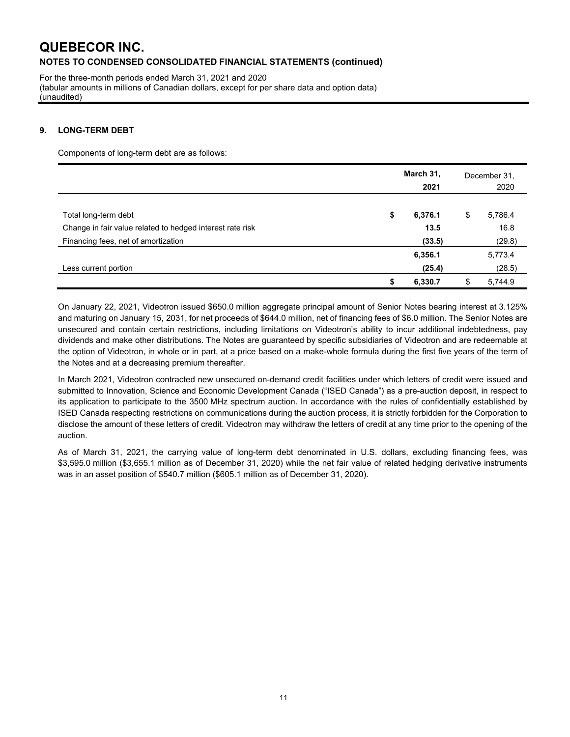For the three-month periods ended March 31, 2021 and 2020 (tabular amounts in millions of Canadian dollars, except for per share data and option data) (unaudited)

### **9. LONG-TERM DEBT**

Components of long-term debt are as follows:

|                                                                                   | March 31,<br>2021     |    | December 31,<br>2020 |  |  |
|-----------------------------------------------------------------------------------|-----------------------|----|----------------------|--|--|
| Total long-term debt<br>Change in fair value related to hedged interest rate risk | \$<br>6,376.1<br>13.5 | \$ | 5,786.4<br>16.8      |  |  |
| Financing fees, net of amortization                                               | (33.5)                |    | (29.8)               |  |  |
|                                                                                   | 6,356.1               |    | 5,773.4              |  |  |
| Less current portion                                                              | (25.4)                |    | (28.5)               |  |  |
|                                                                                   | 6,330.7               | S  | 5,744.9              |  |  |

On January 22, 2021, Videotron issued \$650.0 million aggregate principal amount of Senior Notes bearing interest at 3.125% and maturing on January 15, 2031, for net proceeds of \$644.0 million, net of financing fees of \$6.0 million. The Senior Notes are unsecured and contain certain restrictions, including limitations on Videotron's ability to incur additional indebtedness, pay dividends and make other distributions. The Notes are guaranteed by specific subsidiaries of Videotron and are redeemable at the option of Videotron, in whole or in part, at a price based on a make-whole formula during the first five years of the term of the Notes and at a decreasing premium thereafter.

In March 2021, Videotron contracted new unsecured on-demand credit facilities under which letters of credit were issued and submitted to Innovation, Science and Economic Development Canada ("ISED Canada") as a pre-auction deposit, in respect to its application to participate to the 3500 MHz spectrum auction. In accordance with the rules of confidentially established by ISED Canada respecting restrictions on communications during the auction process, it is strictly forbidden for the Corporation to disclose the amount of these letters of credit. Videotron may withdraw the letters of credit at any time prior to the opening of the auction.

As of March 31, 2021, the carrying value of long-term debt denominated in U.S. dollars, excluding financing fees, was \$3,595.0 million (\$3,655.1 million as of December 31, 2020) while the net fair value of related hedging derivative instruments was in an asset position of \$540.7 million (\$605.1 million as of December 31, 2020).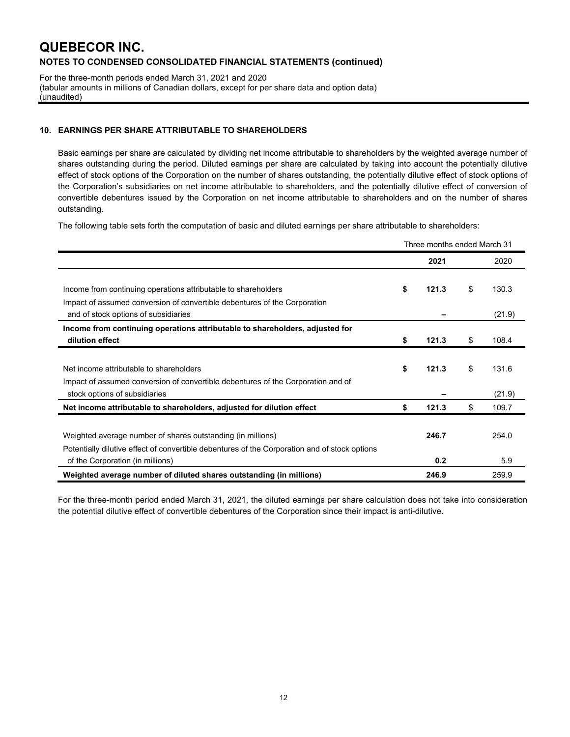For the three-month periods ended March 31, 2021 and 2020 (tabular amounts in millions of Canadian dollars, except for per share data and option data) (unaudited)

### **10. EARNINGS PER SHARE ATTRIBUTABLE TO SHAREHOLDERS**

Basic earnings per share are calculated by dividing net income attributable to shareholders by the weighted average number of shares outstanding during the period. Diluted earnings per share are calculated by taking into account the potentially dilutive effect of stock options of the Corporation on the number of shares outstanding, the potentially dilutive effect of stock options of the Corporation's subsidiaries on net income attributable to shareholders, and the potentially dilutive effect of conversion of convertible debentures issued by the Corporation on net income attributable to shareholders and on the number of shares outstanding.

The following table sets forth the computation of basic and diluted earnings per share attributable to shareholders:

|                                                                                               | Three months ended March 31 |       |    |        |
|-----------------------------------------------------------------------------------------------|-----------------------------|-------|----|--------|
|                                                                                               |                             | 2021  |    | 2020   |
|                                                                                               |                             |       |    |        |
| Income from continuing operations attributable to shareholders                                | \$                          | 121.3 | \$ | 130.3  |
| Impact of assumed conversion of convertible debentures of the Corporation                     |                             |       |    |        |
| and of stock options of subsidiaries                                                          |                             |       |    | (21.9) |
| Income from continuing operations attributable to shareholders, adjusted for                  |                             |       |    |        |
| dilution effect                                                                               | \$                          | 121.3 | \$ | 108.4  |
|                                                                                               |                             |       |    |        |
| Net income attributable to shareholders                                                       | \$                          | 121.3 | \$ | 131.6  |
| Impact of assumed conversion of convertible debentures of the Corporation and of              |                             |       |    |        |
| stock options of subsidiaries                                                                 |                             |       |    | (21.9) |
| Net income attributable to shareholders, adjusted for dilution effect                         | \$                          | 121.3 | \$ | 109.7  |
|                                                                                               |                             |       |    |        |
| Weighted average number of shares outstanding (in millions)                                   |                             | 246.7 |    | 254.0  |
| Potentially dilutive effect of convertible debentures of the Corporation and of stock options |                             |       |    |        |
| of the Corporation (in millions)                                                              |                             | 0.2   |    | 5.9    |
| Weighted average number of diluted shares outstanding (in millions)                           |                             | 246.9 |    | 259.9  |

For the three-month period ended March 31, 2021, the diluted earnings per share calculation does not take into consideration the potential dilutive effect of convertible debentures of the Corporation since their impact is anti-dilutive.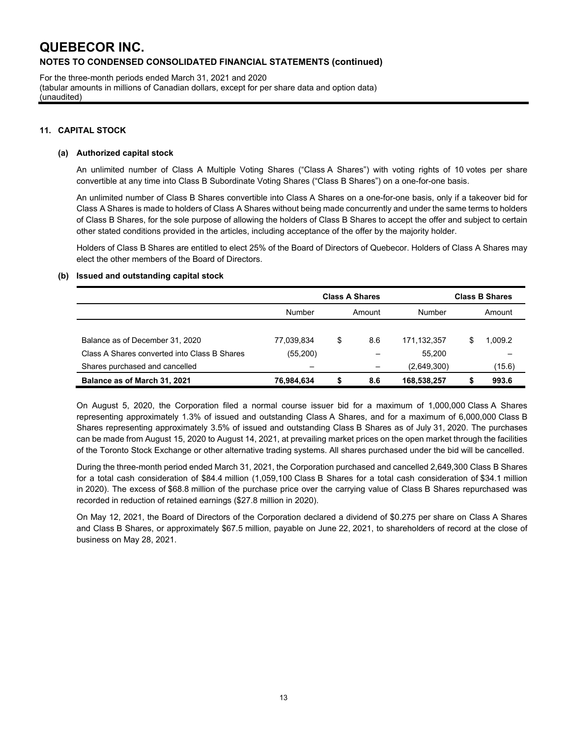For the three-month periods ended March 31, 2021 and 2020 (tabular amounts in millions of Canadian dollars, except for per share data and option data) (unaudited)

#### **11. CAPITAL STOCK**

#### **(a) Authorized capital stock**

An unlimited number of Class A Multiple Voting Shares ("Class A Shares") with voting rights of 10 votes per share convertible at any time into Class B Subordinate Voting Shares ("Class B Shares") on a one-for-one basis.

An unlimited number of Class B Shares convertible into Class A Shares on a one-for-one basis, only if a takeover bid for Class A Shares is made to holders of Class A Shares without being made concurrently and under the same terms to holders of Class B Shares, for the sole purpose of allowing the holders of Class B Shares to accept the offer and subject to certain other stated conditions provided in the articles, including acceptance of the offer by the majority holder.

Holders of Class B Shares are entitled to elect 25% of the Board of Directors of Quebecor. Holders of Class A Shares may elect the other members of the Board of Directors.

#### **(b) Issued and outstanding capital stock**

|                                              | <b>Class A Shares</b> |        |     |             | <b>Class B Shares</b> |         |  |  |
|----------------------------------------------|-----------------------|--------|-----|-------------|-----------------------|---------|--|--|
|                                              | <b>Number</b>         | Amount |     | Number      |                       | Amount  |  |  |
|                                              |                       |        |     |             |                       |         |  |  |
| Balance as of December 31, 2020              | 77,039,834            | \$     | 8.6 | 171.132.357 |                       | 0.009.2 |  |  |
| Class A Shares converted into Class B Shares | (55, 200)             |        |     | 55.200      |                       |         |  |  |
| Shares purchased and cancelled               |                       |        |     | (2,649,300) |                       | (15.6)  |  |  |
| Balance as of March 31, 2021                 | 76,984,634            | S      | 8.6 | 168,538,257 |                       | 993.6   |  |  |

On August 5, 2020, the Corporation filed a normal course issuer bid for a maximum of 1,000,000 Class A Shares representing approximately 1.3% of issued and outstanding Class A Shares, and for a maximum of 6,000,000 Class B Shares representing approximately 3.5% of issued and outstanding Class B Shares as of July 31, 2020. The purchases can be made from August 15, 2020 to August 14, 2021, at prevailing market prices on the open market through the facilities of the Toronto Stock Exchange or other alternative trading systems. All shares purchased under the bid will be cancelled.

During the three-month period ended March 31, 2021, the Corporation purchased and cancelled 2,649,300 Class B Shares for a total cash consideration of \$84.4 million (1,059,100 Class B Shares for a total cash consideration of \$34.1 million in 2020). The excess of \$68.8 million of the purchase price over the carrying value of Class B Shares repurchased was recorded in reduction of retained earnings (\$27.8 million in 2020).

On May 12, 2021, the Board of Directors of the Corporation declared a dividend of \$0.275 per share on Class A Shares and Class B Shares, or approximately \$67.5 million, payable on June 22, 2021, to shareholders of record at the close of business on May 28, 2021.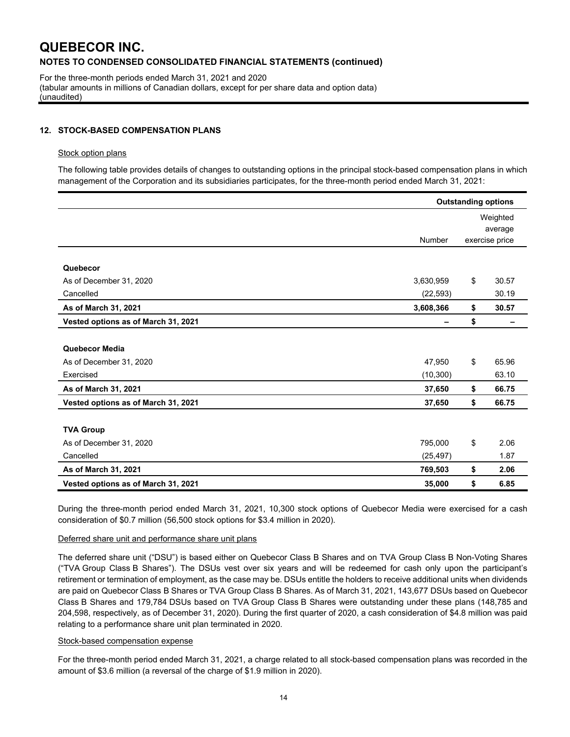For the three-month periods ended March 31, 2021 and 2020 (tabular amounts in millions of Canadian dollars, except for per share data and option data) (unaudited)

#### **12. STOCK-BASED COMPENSATION PLANS**

#### Stock option plans

The following table provides details of changes to outstanding options in the principal stock-based compensation plans in which management of the Corporation and its subsidiaries participates, for the three-month period ended March 31, 2021:

|                                     | <b>Outstanding options</b> |                           |       |  |  |
|-------------------------------------|----------------------------|---------------------------|-------|--|--|
|                                     |                            | Weighted                  |       |  |  |
|                                     |                            | average<br>exercise price |       |  |  |
|                                     | <b>Number</b>              |                           |       |  |  |
| Quebecor                            |                            |                           |       |  |  |
| As of December 31, 2020             | 3,630,959                  | \$                        | 30.57 |  |  |
| Cancelled                           | (22, 593)                  |                           | 30.19 |  |  |
| As of March 31, 2021                | 3,608,366                  | \$                        | 30.57 |  |  |
| Vested options as of March 31, 2021 |                            | \$                        |       |  |  |
|                                     |                            |                           |       |  |  |
| Quebecor Media                      |                            |                           |       |  |  |
| As of December 31, 2020             | 47,950                     | \$                        | 65.96 |  |  |
| Exercised                           | (10, 300)                  |                           | 63.10 |  |  |
| As of March 31, 2021                | 37,650                     | \$                        | 66.75 |  |  |
| Vested options as of March 31, 2021 | 37,650                     | \$                        | 66.75 |  |  |
|                                     |                            |                           |       |  |  |
| <b>TVA Group</b>                    |                            |                           |       |  |  |
| As of December 31, 2020             | 795,000                    | \$                        | 2.06  |  |  |
| Cancelled                           | (25, 497)                  |                           | 1.87  |  |  |
| As of March 31, 2021                | 769,503                    | \$                        | 2.06  |  |  |
| Vested options as of March 31, 2021 | 35,000                     | \$                        | 6.85  |  |  |

During the three-month period ended March 31, 2021, 10,300 stock options of Quebecor Media were exercised for a cash consideration of \$0.7 million (56,500 stock options for \$3.4 million in 2020).

#### Deferred share unit and performance share unit plans

The deferred share unit ("DSU") is based either on Quebecor Class B Shares and on TVA Group Class B Non-Voting Shares ("TVA Group Class B Shares"). The DSUs vest over six years and will be redeemed for cash only upon the participant's retirement or termination of employment, as the case may be. DSUs entitle the holders to receive additional units when dividends are paid on Quebecor Class B Shares or TVA Group Class B Shares. As of March 31, 2021, 143,677 DSUs based on Quebecor Class B Shares and 179,784 DSUs based on TVA Group Class B Shares were outstanding under these plans (148,785 and 204,598, respectively, as of December 31, 2020). During the first quarter of 2020, a cash consideration of \$4.8 million was paid relating to a performance share unit plan terminated in 2020.

#### Stock-based compensation expense

For the three-month period ended March 31, 2021, a charge related to all stock-based compensation plans was recorded in the amount of \$3.6 million (a reversal of the charge of \$1.9 million in 2020).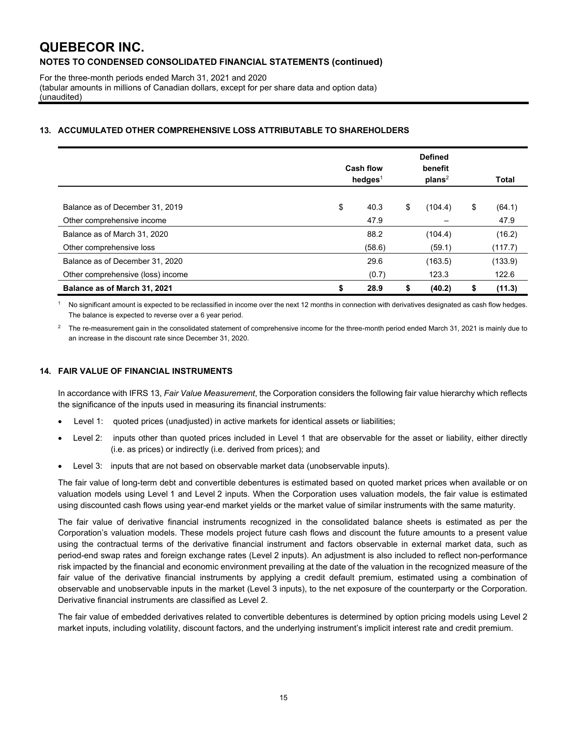For the three-month periods ended March 31, 2021 and 2020 (tabular amounts in millions of Canadian dollars, except for per share data and option data) (unaudited)

### **13. ACCUMULATED OTHER COMPREHENSIVE LOSS ATTRIBUTABLE TO SHAREHOLDERS**

|                                   | <b>Cash flow</b><br>hedges $1$ |        | <b>Defined</b><br>benefit<br>plans <sup>2</sup> |    | <b>Total</b> |
|-----------------------------------|--------------------------------|--------|-------------------------------------------------|----|--------------|
|                                   |                                |        |                                                 |    |              |
| Balance as of December 31, 2019   | \$                             | 40.3   | \$<br>(104.4)                                   | \$ | (64.1)       |
| Other comprehensive income        |                                | 47.9   |                                                 |    | 47.9         |
| Balance as of March 31, 2020      |                                | 88.2   | (104.4)                                         |    | (16.2)       |
| Other comprehensive loss          |                                | (58.6) | (59.1)                                          |    | (117.7)      |
| Balance as of December 31, 2020   |                                | 29.6   | (163.5)                                         |    | (133.9)      |
| Other comprehensive (loss) income |                                | (0.7)  | 123.3                                           |    | 122.6        |
| Balance as of March 31, 2021      | \$                             | 28.9   | \$<br>(40.2)                                    | \$ | (11.3)       |

No significant amount is expected to be reclassified in income over the next 12 months in connection with derivatives designated as cash flow hedges. The balance is expected to reverse over a 6 year period.

2 The re-measurement gain in the consolidated statement of comprehensive income for the three-month period ended March 31, 2021 is mainly due to an increase in the discount rate since December 31, 2020.

### **14. FAIR VALUE OF FINANCIAL INSTRUMENTS**

In accordance with IFRS 13, *Fair Value Measurement*, the Corporation considers the following fair value hierarchy which reflects the significance of the inputs used in measuring its financial instruments:

- Level 1: quoted prices (unadjusted) in active markets for identical assets or liabilities;
- Level 2: inputs other than quoted prices included in Level 1 that are observable for the asset or liability, either directly (i.e. as prices) or indirectly (i.e. derived from prices); and
- Level 3: inputs that are not based on observable market data (unobservable inputs).

The fair value of long-term debt and convertible debentures is estimated based on quoted market prices when available or on valuation models using Level 1 and Level 2 inputs. When the Corporation uses valuation models, the fair value is estimated using discounted cash flows using year-end market yields or the market value of similar instruments with the same maturity.

The fair value of derivative financial instruments recognized in the consolidated balance sheets is estimated as per the Corporation's valuation models. These models project future cash flows and discount the future amounts to a present value using the contractual terms of the derivative financial instrument and factors observable in external market data, such as period-end swap rates and foreign exchange rates (Level 2 inputs). An adjustment is also included to reflect non-performance risk impacted by the financial and economic environment prevailing at the date of the valuation in the recognized measure of the fair value of the derivative financial instruments by applying a credit default premium, estimated using a combination of observable and unobservable inputs in the market (Level 3 inputs), to the net exposure of the counterparty or the Corporation. Derivative financial instruments are classified as Level 2.

The fair value of embedded derivatives related to convertible debentures is determined by option pricing models using Level 2 market inputs, including volatility, discount factors, and the underlying instrument's implicit interest rate and credit premium.